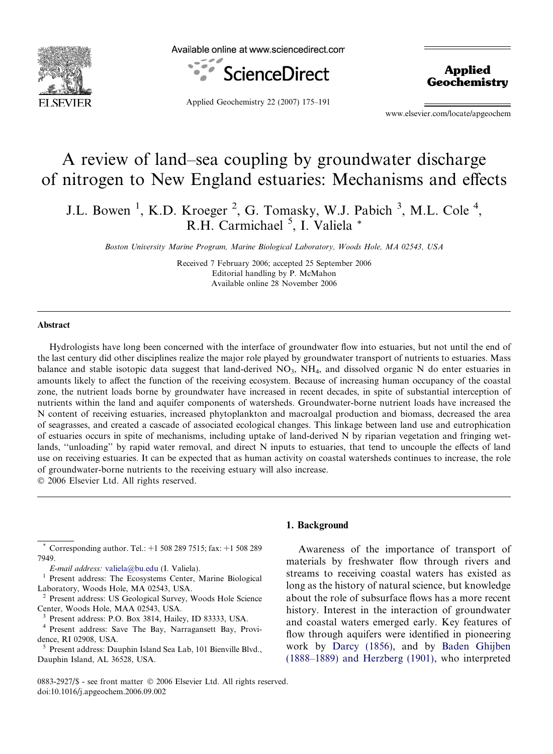

Available online at www.sciencedirect.com



Applied **Geochemistry** 

Applied Geochemistry 22 (2007) 175–191

www.elsevier.com/locate/apgeochem

# A review of land–sea coupling by groundwater discharge of nitrogen to New England estuaries: Mechanisms and effects

J.L. Bowen<sup>1</sup>, K.D. Kroeger<sup>2</sup>, G. Tomasky, W.J. Pabich<sup>3</sup>, M.L. Cole<sup>4</sup>, R.H. Carmichael<sup>5</sup>, I. Valiela<sup>\*</sup>

Boston University Marine Program, Marine Biological Laboratory, Woods Hole, MA 02543, USA

Received 7 February 2006; accepted 25 September 2006 Editorial handling by P. McMahon Available online 28 November 2006

#### Abstract

Hydrologists have long been concerned with the interface of groundwater flow into estuaries, but not until the end of the last century did other disciplines realize the major role played by groundwater transport of nutrients to estuaries. Mass balance and stable isotopic data suggest that land-derived  $NO<sub>3</sub>$ ,  $NH<sub>4</sub>$ , and dissolved organic N do enter estuaries in amounts likely to affect the function of the receiving ecosystem. Because of increasing human occupancy of the coastal zone, the nutrient loads borne by groundwater have increased in recent decades, in spite of substantial interception of nutrients within the land and aquifer components of watersheds. Groundwater-borne nutrient loads have increased the N content of receiving estuaries, increased phytoplankton and macroalgal production and biomass, decreased the area of seagrasses, and created a cascade of associated ecological changes. This linkage between land use and eutrophication of estuaries occurs in spite of mechanisms, including uptake of land-derived N by riparian vegetation and fringing wetlands, ''unloading'' by rapid water removal, and direct N inputs to estuaries, that tend to uncouple the effects of land use on receiving estuaries. It can be expected that as human activity on coastal watersheds continues to increase, the role of groundwater-borne nutrients to the receiving estuary will also increase.

 $© 2006 Elsevier Ltd. All rights reserved.$ 

- <sup>2</sup> Present address: US Geological Survey, Woods Hole Science Center, Woods Hole, MAA 02543, USA.
	-
- <sup>3</sup> Present address: P.O. Box 3814, Hailey, ID 83333, USA. 4 Present address: Save The Bay, Narragansett Bay, Providence, RI 02908, USA.
- <sup>5</sup> Present address: Dauphin Island Sea Lab, 101 Bienville Blvd., Dauphin Island, AL 36528, USA.

# 1. Background

Awareness of the importance of transport of materials by freshwater flow through rivers and streams to receiving coastal waters has existed as long as the history of natural science, but knowledge about the role of subsurface flows has a more recent history. Interest in the interaction of groundwater and coastal waters emerged early. Key features of flow through aquifers were identified in pioneering work by [Darcy \(1856\),](#page-13-0) and by [Baden Ghijben](#page-12-0) [\(1888–1889\) and Herzberg \(1901\),](#page-12-0) who interpreted

0883-2927/\$ - see front matter © 2006 Elsevier Ltd. All rights reserved. doi:10.1016/j.apgeochem.2006.09.002

<sup>\*</sup> Corresponding author. Tel.: +1 508 289 7515; fax: +1 508 289 7949.

E-mail address: [valiela@bu.edu](mailto:valiela@bu.edu) (I. Valiela).<br>Present address: The Ecosystems Center, Marine Biological Laboratory, Woods Hole, MA 02543, USA.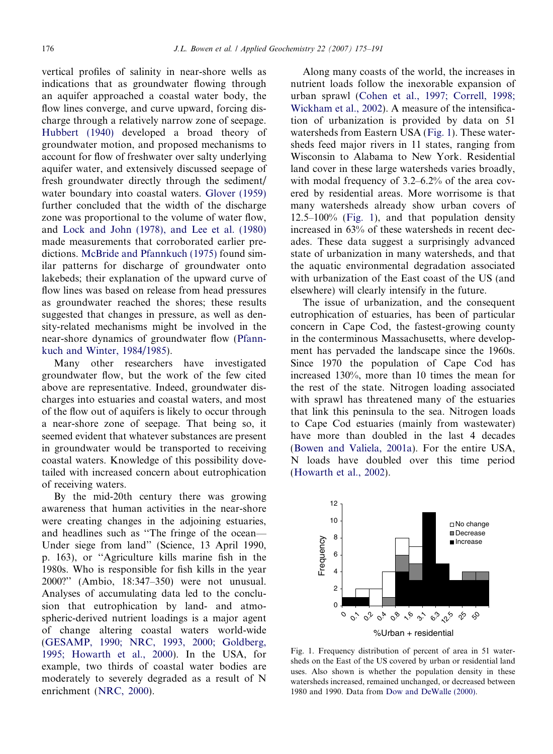<span id="page-1-0"></span>vertical profiles of salinity in near-shore wells as indications that as groundwater flowing through an aquifer approached a coastal water body, the flow lines converge, and curve upward, forcing discharge through a relatively narrow zone of seepage. [Hubbert \(1940\)](#page-14-0) developed a broad theory of groundwater motion, and proposed mechanisms to account for flow of freshwater over salty underlying aquifer water, and extensively discussed seepage of fresh groundwater directly through the sediment/ water boundary into coastal waters. [Glover \(1959\)](#page-13-0) further concluded that the width of the discharge zone was proportional to the volume of water flow, and [Lock and John \(1978\), and Lee et al. \(1980\)](#page-14-0) made measurements that corroborated earlier predictions. [McBride and Pfannkuch \(1975\)](#page-14-0) found similar patterns for discharge of groundwater onto lakebeds; their explanation of the upward curve of flow lines was based on release from head pressures as groundwater reached the shores; these results suggested that changes in pressure, as well as density-related mechanisms might be involved in the near-shore dynamics of groundwater flow ([Pfann](#page-15-0)[kuch and Winter, 1984/1985\)](#page-15-0).

Many other researchers have investigated groundwater flow, but the work of the few cited above are representative. Indeed, groundwater discharges into estuaries and coastal waters, and most of the flow out of aquifers is likely to occur through a near-shore zone of seepage. That being so, it seemed evident that whatever substances are present in groundwater would be transported to receiving coastal waters. Knowledge of this possibility dovetailed with increased concern about eutrophication of receiving waters.

By the mid-20th century there was growing awareness that human activities in the near-shore were creating changes in the adjoining estuaries, and headlines such as ''The fringe of the ocean— Under siege from land'' (Science, 13 April 1990, p. 163), or ''Agriculture kills marine fish in the 1980s. Who is responsible for fish kills in the year 2000?'' (Ambio, 18:347–350) were not unusual. Analyses of accumulating data led to the conclusion that eutrophication by land- and atmospheric-derived nutrient loadings is a major agent of change altering coastal waters world-wide ([GESAMP, 1990; NRC, 1993, 2000; Goldberg,](#page-13-0) [1995; Howarth et al., 2000](#page-13-0)). In the USA, for example, two thirds of coastal water bodies are moderately to severely degraded as a result of N enrichment [\(NRC, 2000](#page-15-0)).

Along many coasts of the world, the increases in nutrient loads follow the inexorable expansion of urban sprawl ([Cohen et al., 1997; Correll, 1998;](#page-13-0) [Wickham et al., 2002](#page-13-0)). A measure of the intensification of urbanization is provided by data on 51 watersheds from Eastern USA (Fig. 1). These watersheds feed major rivers in 11 states, ranging from Wisconsin to Alabama to New York. Residential land cover in these large watersheds varies broadly, with modal frequency of 3.2–6.2% of the area covered by residential areas. More worrisome is that many watersheds already show urban covers of 12.5–100% (Fig. 1), and that population density increased in 63% of these watersheds in recent decades. These data suggest a surprisingly advanced state of urbanization in many watersheds, and that the aquatic environmental degradation associated with urbanization of the East coast of the US (and elsewhere) will clearly intensify in the future.

The issue of urbanization, and the consequent eutrophication of estuaries, has been of particular concern in Cape Cod, the fastest-growing county in the conterminous Massachusetts, where development has pervaded the landscape since the 1960s. Since 1970 the population of Cape Cod has increased 130%, more than 10 times the mean for the rest of the state. Nitrogen loading associated with sprawl has threatened many of the estuaries that link this peninsula to the sea. Nitrogen loads to Cape Cod estuaries (mainly from wastewater) have more than doubled in the last 4 decades ([Bowen and Valiela, 2001a\)](#page-13-0). For the entire USA, N loads have doubled over this time period ([Howarth et al., 2002\)](#page-14-0).



Fig. 1. Frequency distribution of percent of area in 51 watersheds on the East of the US covered by urban or residential land uses. Also shown is whether the population density in these watersheds increased, remained unchanged, or decreased between 1980 and 1990. Data from [Dow and DeWalle \(2000\)](#page-13-0).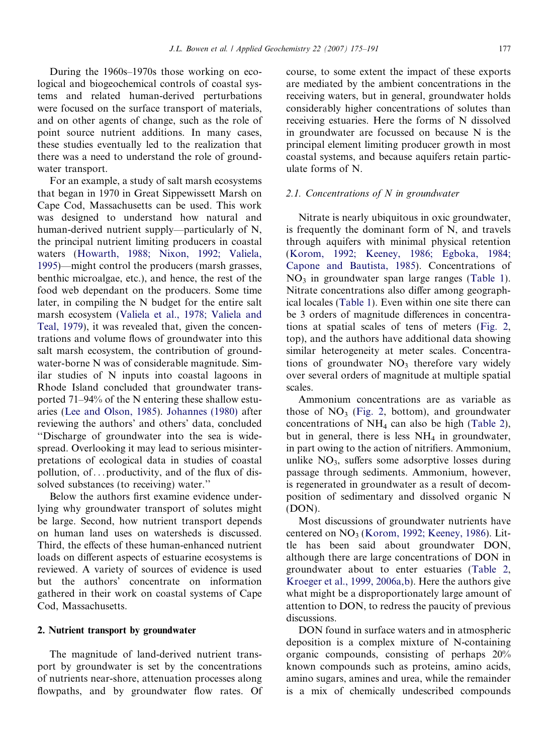During the 1960s–1970s those working on ecological and biogeochemical controls of coastal systems and related human-derived perturbations were focused on the surface transport of materials, and on other agents of change, such as the role of point source nutrient additions. In many cases, these studies eventually led to the realization that there was a need to understand the role of groundwater transport.

For an example, a study of salt marsh ecosystems that began in 1970 in Great Sippewissett Marsh on Cape Cod, Massachusetts can be used. This work was designed to understand how natural and human-derived nutrient supply—particularly of N, the principal nutrient limiting producers in coastal waters [\(Howarth, 1988; Nixon, 1992; Valiela,](#page-14-0) [1995\)](#page-14-0)—might control the producers (marsh grasses, benthic microalgae, etc.), and hence, the rest of the food web dependant on the producers. Some time later, in compiling the N budget for the entire salt marsh ecosystem ([Valiela et al., 1978; Valiela and](#page-16-0) [Teal, 1979\)](#page-16-0), it was revealed that, given the concentrations and volume flows of groundwater into this salt marsh ecosystem, the contribution of groundwater-borne N was of considerable magnitude. Similar studies of N inputs into coastal lagoons in Rhode Island concluded that groundwater transported 71–94% of the N entering these shallow estuaries ([Lee and Olson, 1985](#page-14-0)). [Johannes \(1980\)](#page-14-0) after reviewing the authors' and others' data, concluded ''Discharge of groundwater into the sea is widespread. Overlooking it may lead to serious misinterpretations of ecological data in studies of coastal pollution, of...productivity, and of the flux of dissolved substances (to receiving) water.''

Below the authors first examine evidence underlying why groundwater transport of solutes might be large. Second, how nutrient transport depends on human land uses on watersheds is discussed. Third, the effects of these human-enhanced nutrient loads on different aspects of estuarine ecosystems is reviewed. A variety of sources of evidence is used but the authors' concentrate on information gathered in their work on coastal systems of Cape Cod, Massachusetts.

## 2. Nutrient transport by groundwater

The magnitude of land-derived nutrient transport by groundwater is set by the concentrations of nutrients near-shore, attenuation processes along flowpaths, and by groundwater flow rates. Of course, to some extent the impact of these exports are mediated by the ambient concentrations in the receiving waters, but in general, groundwater holds considerably higher concentrations of solutes than receiving estuaries. Here the forms of N dissolved in groundwater are focussed on because N is the principal element limiting producer growth in most coastal systems, and because aquifers retain particulate forms of N.

## 2.1. Concentrations of  $N$  in groundwater

Nitrate is nearly ubiquitous in oxic groundwater, is frequently the dominant form of N, and travels through aquifers with minimal physical retention [\(Korom, 1992; Keeney, 1986; Egboka, 1984;](#page-14-0) [Capone and Bautista, 1985](#page-14-0)). Concentrations of  $NO<sub>3</sub>$  in groundwater span large ranges [\(Table 1](#page-3-0)). Nitrate concentrations also differ among geographical locales [\(Table 1](#page-3-0)). Even within one site there can be 3 orders of magnitude differences in concentrations at spatial scales of tens of meters ([Fig. 2](#page-3-0), top), and the authors have additional data showing similar heterogeneity at meter scales. Concentrations of groundwater  $NO<sub>3</sub>$  therefore vary widely over several orders of magnitude at multiple spatial scales.

Ammonium concentrations are as variable as those of  $NO<sub>3</sub>$  ([Fig. 2,](#page-3-0) bottom), and groundwater concentrations of  $NH_4$  can also be high [\(Table 2](#page-4-0)), but in general, there is less  $NH<sub>4</sub>$  in groundwater, in part owing to the action of nitrifiers. Ammonium, unlike  $NO<sub>3</sub>$ , suffers some adsorptive losses during passage through sediments. Ammonium, however, is regenerated in groundwater as a result of decomposition of sedimentary and dissolved organic N (DON).

Most discussions of groundwater nutrients have centered on  $NO<sub>3</sub>$  [\(Korom, 1992; Keeney, 1986](#page-14-0)). Little has been said about groundwater DON, although there are large concentrations of DON in groundwater about to enter estuaries ([Table 2](#page-4-0), [Kroeger et al., 1999, 2006a,b\)](#page-14-0). Here the authors give what might be a disproportionately large amount of attention to DON, to redress the paucity of previous discussions.

DON found in surface waters and in atmospheric deposition is a complex mixture of N-containing organic compounds, consisting of perhaps 20% known compounds such as proteins, amino acids, amino sugars, amines and urea, while the remainder is a mix of chemically undescribed compounds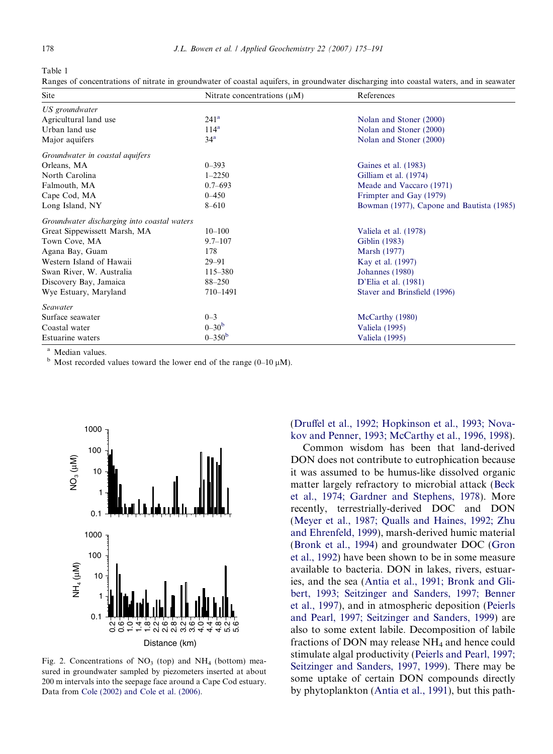<span id="page-3-0"></span>Table 1

Ranges of concentrations of nitrate in groundwater of coastal aquifers, in groundwater discharging into coastal waters, and in seawater

| Site                                        | Nitrate concentrations $(\mu M)$ | References                                |
|---------------------------------------------|----------------------------------|-------------------------------------------|
| US groundwater                              |                                  |                                           |
| Agricultural land use                       | 241 <sup>a</sup>                 | Nolan and Stoner (2000)                   |
| Urban land use                              | 114 <sup>a</sup>                 | Nolan and Stoner (2000)                   |
| Major aquifers                              | 34 <sup>a</sup>                  | Nolan and Stoner (2000)                   |
| Groundwater in coastal aquifers             |                                  |                                           |
| Orleans, MA                                 | $0 - 393$                        | Gaines et al. (1983)                      |
| North Carolina                              | $1 - 2250$                       | Gilliam et al. (1974)                     |
| Falmouth, MA                                | $0.7 - 693$                      | Meade and Vaccaro (1971)                  |
| Cape Cod, MA                                | $0 - 450$                        | Frimpter and Gay (1979)                   |
| Long Island, NY                             | $8 - 610$                        | Bowman (1977), Capone and Bautista (1985) |
| Groundwater discharging into coastal waters |                                  |                                           |
| Great Sippewissett Marsh, MA                | $10 - 100$                       | Valiela et al. (1978)                     |
| Town Cove, MA                               | $9.7 - 107$                      | Giblin (1983)                             |
| Agana Bay, Guam                             | 178                              | Marsh (1977)                              |
| Western Island of Hawaii                    | $29 - 91$                        | Kay et al. (1997)                         |
| Swan River, W. Australia                    | $115 - 380$                      | Johannes (1980)                           |
| Discovery Bay, Jamaica                      | $88 - 250$                       | D'Elia et al. (1981)                      |
| Wye Estuary, Maryland                       | 710-1491                         | Staver and Brinsfield (1996)              |
| Seawater                                    |                                  |                                           |
| Surface seawater                            | $0 - 3$                          | McCarthy (1980)                           |
| Coastal water                               | $0 - 30^{\rm b}$                 | Valiela (1995)                            |
| Estuarine waters                            | $0 - 350^{\rm b}$                | Valiela (1995)                            |

<sup>a</sup> Median values.

<sup>b</sup> Most recorded values toward the lower end of the range  $(0-10 \mu M)$ .



Fig. 2. Concentrations of  $NO<sub>3</sub>$  (top) and  $NH<sub>4</sub>$  (bottom) measured in groundwater sampled by piezometers inserted at about 200 m intervals into the seepage face around a Cape Cod estuary. Data from [Cole \(2002\) and Cole et al. \(2006\)](#page-13-0).

([Druffel et al., 1992; Hopkinson et al., 1993; Nova](#page-13-0)[kov and Penner, 1993; McCarthy et al., 1996, 1998](#page-13-0)).

Common wisdom has been that land-derived DON does not contribute to eutrophication because it was assumed to be humus-like dissolved organic matter largely refractory to microbial attack ([Beck](#page-12-0) [et al., 1974; Gardner and Stephens, 1978\)](#page-12-0). More recently, terrestrially-derived DOC and DON ([Meyer et al., 1987; Qualls and Haines, 1992; Zhu](#page-14-0) [and Ehrenfeld, 1999\)](#page-14-0), marsh-derived humic material ([Bronk et al., 1994\)](#page-13-0) and groundwater DOC [\(Gron](#page-13-0) [et al., 1992](#page-13-0)) have been shown to be in some measure available to bacteria. DON in lakes, rivers, estuaries, and the sea [\(Antia et al., 1991; Bronk and Gli](#page-12-0)[bert, 1993; Seitzinger and Sanders, 1997; Benner](#page-12-0) [et al., 1997](#page-12-0)), and in atmospheric deposition ([Peierls](#page-15-0) [and Pearl, 1997; Seitzinger and Sanders, 1999\)](#page-15-0) are also to some extent labile. Decomposition of labile fractions of DON may release  $NH<sub>4</sub>$  and hence could stimulate algal productivity ([Peierls and Pearl, 1997;](#page-15-0) [Seitzinger and Sanders, 1997, 1999\)](#page-15-0). There may be some uptake of certain DON compounds directly by phytoplankton ([Antia et al., 1991](#page-12-0)), but this path-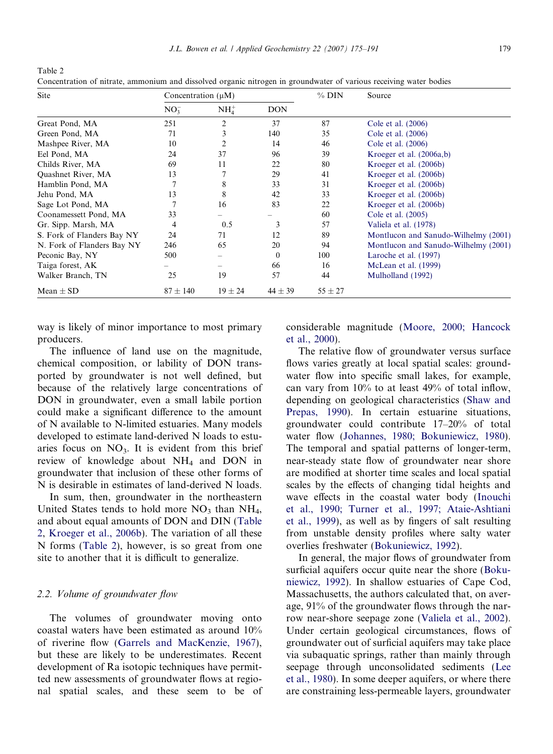| Concentration of nitrate, ammonium and dissolved organic nitrogen in groundwater of various receiving water bodies |                         |        |            |         |                            |  |  |  |
|--------------------------------------------------------------------------------------------------------------------|-------------------------|--------|------------|---------|----------------------------|--|--|--|
| Site                                                                                                               | Concentration $(\mu M)$ |        |            | $%$ DIN | Source                     |  |  |  |
|                                                                                                                    | NO <sub>3</sub>         | $NH4+$ | <b>DON</b> |         |                            |  |  |  |
| Great Pond, MA                                                                                                     | 251                     |        | 37         | 87      | Cole et al. (2006)         |  |  |  |
| Green Pond, MA                                                                                                     | 71                      |        | 140        | 35      | Cole et al. (2006)         |  |  |  |
| Mashpee River, MA                                                                                                  | 10                      |        | 14         | 46      | Cole et al. (2006)         |  |  |  |
| Eel Pond, MA                                                                                                       | 24                      | 37     | 96         | 39      | Kroeger et al. $(2006a,b)$ |  |  |  |
| Childs River, MA                                                                                                   | 69                      | 11     | 22         | 80      | Kroeger et al. (2006b)     |  |  |  |
| Quashnet River, MA                                                                                                 | 13                      |        | 29         | 41      | Kroeger et al. (2006b)     |  |  |  |
| Hamblin Pond, MA                                                                                                   |                         | 8      | 33         | 31      | Kroeger et al. (2006b)     |  |  |  |
| Jehu Pond, MA                                                                                                      | 13                      | 8      | 42         | 33      | Kroeger et al. (2006b)     |  |  |  |
| Sage Lot Pond, MA                                                                                                  | π                       | 16     | 83         | 22      | Kroeger et al. (2006b)     |  |  |  |
| Coonamessett Pond, MA                                                                                              | 33                      |        |            | 60      | Cole et al. (2005)         |  |  |  |
| Gr. Sipp. Marsh, MA                                                                                                | 4                       | 0.5    |            | 57      | Valiela et al. (1978)      |  |  |  |

S. Fork of Flanders Bay NY 24 71 12 89 [Montlucon and Sanudo-Wilhelmy \(2001\)](#page-15-0) N. Fork of Flanders Bay NY 246 65 20 94 [Montlucon and Sanudo-Wilhelmy \(2001\)](#page-15-0)

Peconic Bay, NY 500 – 0 100 [Laroche et al. \(1997\)](#page-14-0) Taiga forest, AK – – 66 16 [McLean et al. \(1999\)](#page-14-0) Walker Branch, TN 25 19 57 44 [Mulholland \(1992\)](#page-15-0)

way is likely of minor importance to most primary producers.

Mean  $\pm$  SD 87  $\pm$  140 19  $\pm$  24 44  $\pm$  39 55  $\pm$  27

<span id="page-4-0"></span>Table 2

The influence of land use on the magnitude, chemical composition, or lability of DON transported by groundwater is not well defined, but because of the relatively large concentrations of DON in groundwater, even a small labile portion could make a significant difference to the amount of N available to N-limited estuaries. Many models developed to estimate land-derived N loads to estuaries focus on  $NO<sub>3</sub>$ . It is evident from this brief review of knowledge about NH4 and DON in groundwater that inclusion of these other forms of N is desirable in estimates of land-derived N loads.

In sum, then, groundwater in the northeastern United States tends to hold more  $NO_3$  than  $NH_4$ , and about equal amounts of DON and DIN (Table 2, [Kroeger et al., 2006b](#page-14-0)). The variation of all these N forms (Table 2), however, is so great from one site to another that it is difficult to generalize.

# 2.2. Volume of groundwater flow

The volumes of groundwater moving onto coastal waters have been estimated as around 10% of riverine flow [\(Garrels and MacKenzie, 1967](#page-13-0)), but these are likely to be underestimates. Recent development of Ra isotopic techniques have permitted new assessments of groundwater flows at regional spatial scales, and these seem to be of considerable magnitude ([Moore, 2000; Hancock](#page-15-0) [et al., 2000](#page-15-0)).

The relative flow of groundwater versus surface flows varies greatly at local spatial scales: groundwater flow into specific small lakes, for example, can vary from 10% to at least 49% of total inflow, depending on geological characteristics ([Shaw and](#page-15-0) [Prepas, 1990\)](#page-15-0). In certain estuarine situations, groundwater could contribute 17–20% of total water flow [\(Johannes, 1980; Bokuniewicz, 1980](#page-14-0)). The temporal and spatial patterns of longer-term, near-steady state flow of groundwater near shore are modified at shorter time scales and local spatial scales by the effects of changing tidal heights and wave effects in the coastal water body [\(Inouchi](#page-14-0) [et al., 1990; Turner et al., 1997; Ataie-Ashtiani](#page-14-0) [et al., 1999\)](#page-14-0), as well as by fingers of salt resulting from unstable density profiles where salty water overlies freshwater ([Bokuniewicz, 1992](#page-13-0)).

In general, the major flows of groundwater from surficial aquifers occur quite near the shore ([Boku](#page-13-0)[niewicz, 1992](#page-13-0)). In shallow estuaries of Cape Cod, Massachusetts, the authors calculated that, on average, 91% of the groundwater flows through the narrow near-shore seepage zone ([Valiela et al., 2002](#page-15-0)). Under certain geological circumstances, flows of groundwater out of surficial aquifers may take place via subaquatic springs, rather than mainly through seepage through unconsolidated sediments ([Lee](#page-14-0) [et al., 1980\)](#page-14-0). In some deeper aquifers, or where there are constraining less-permeable layers, groundwater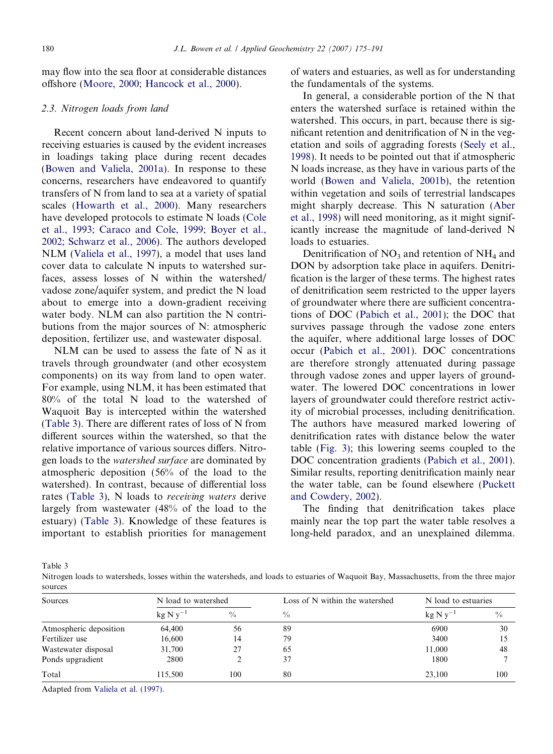may flow into the sea floor at considerable distances offshore ([Moore, 2000; Hancock et al., 2000](#page-15-0)).

## 2.3. Nitrogen loads from land

Recent concern about land-derived N inputs to receiving estuaries is caused by the evident increases in loadings taking place during recent decades ([Bowen and Valiela, 2001a](#page-13-0)). In response to these concerns, researchers have endeavored to quantify transfers of N from land to sea at a variety of spatial scales ([Howarth et al., 2000\)](#page-14-0). Many researchers have developed protocols to estimate N loads ([Cole](#page-13-0) [et al., 1993; Caraco and Cole, 1999; Boyer et al.,](#page-13-0) [2002; Schwarz et al., 2006](#page-13-0)). The authors developed NLM ([Valiela et al., 1997\)](#page-15-0), a model that uses land cover data to calculate N inputs to watershed surfaces, assess losses of N within the watershed/ vadose zone/aquifer system, and predict the N load about to emerge into a down-gradient receiving water body. NLM can also partition the N contributions from the major sources of N: atmospheric deposition, fertilizer use, and wastewater disposal.

NLM can be used to assess the fate of N as it travels through groundwater (and other ecosystem components) on its way from land to open water. For example, using NLM, it has been estimated that 80% of the total N load to the watershed of Waquoit Bay is intercepted within the watershed (Table 3). There are different rates of loss of N from different sources within the watershed, so that the relative importance of various sources differs. Nitrogen loads to the watershed surface are dominated by atmospheric deposition (56% of the load to the watershed). In contrast, because of differential loss rates (Table 3), N loads to receiving waters derive largely from wastewater (48% of the load to the estuary) (Table 3). Knowledge of these features is important to establish priorities for management

of waters and estuaries, as well as for understanding the fundamentals of the systems.

In general, a considerable portion of the N that enters the watershed surface is retained within the watershed. This occurs, in part, because there is significant retention and denitrification of N in the vegetation and soils of aggrading forests ([Seely et al.,](#page-15-0) [1998](#page-15-0)). It needs to be pointed out that if atmospheric N loads increase, as they have in various parts of the world ([Bowen and Valiela, 2001b\)](#page-13-0), the retention within vegetation and soils of terrestrial landscapes might sharply decrease. This N saturation ([Aber](#page-12-0) [et al., 1998\)](#page-12-0) will need monitoring, as it might significantly increase the magnitude of land-derived N loads to estuaries.

Denitrification of  $NO<sub>3</sub>$  and retention of  $NH<sub>4</sub>$  and DON by adsorption take place in aquifers. Denitrification is the larger of these terms. The highest rates of denitrification seem restricted to the upper layers of groundwater where there are sufficient concentrations of DOC [\(Pabich et al., 2001](#page-15-0)); the DOC that survives passage through the vadose zone enters the aquifer, where additional large losses of DOC occur ([Pabich et al., 2001\)](#page-15-0). DOC concentrations are therefore strongly attenuated during passage through vadose zones and upper layers of groundwater. The lowered DOC concentrations in lower layers of groundwater could therefore restrict activity of microbial processes, including denitrification. The authors have measured marked lowering of denitrification rates with distance below the water table [\(Fig. 3\)](#page-6-0); this lowering seems coupled to the DOC concentration gradients [\(Pabich et al., 2001](#page-15-0)). Similar results, reporting denitrification mainly near the water table, can be found elsewhere [\(Puckett](#page-15-0) [and Cowdery, 2002](#page-15-0)).

The finding that denitrification takes place mainly near the top part the water table resolves a long-held paradox, and an unexplained dilemma.

Table 3

Nitrogen loads to watersheds, losses within the watersheds, and loads to estuaries of Waquoit Bay, Massachusetts, from the three major sources

| Sources                | N load to watershed |               | Loss of N within the watershed | N load to estuaries |               |
|------------------------|---------------------|---------------|--------------------------------|---------------------|---------------|
|                        | $kg N y^{-1}$       | $\frac{0}{0}$ | $\frac{0}{0}$                  | $kg N y^{-1}$       | $\frac{0}{0}$ |
| Atmospheric deposition | 64.400              | 56            | 89                             | 6900                | 30            |
| Fertilizer use         | 16,600              | 14            | 79                             | 3400                | 15            |
| Wastewater disposal    | 31,700              | 27            | 65                             | 11.000              | 48            |
| Ponds upgradient       | 2800                |               | 37                             | 1800                |               |
| Total                  | 115.500             | 100           | 80                             | 23,100              | 100           |

Adapted from [Valiela et al. \(1997\).](#page-15-0)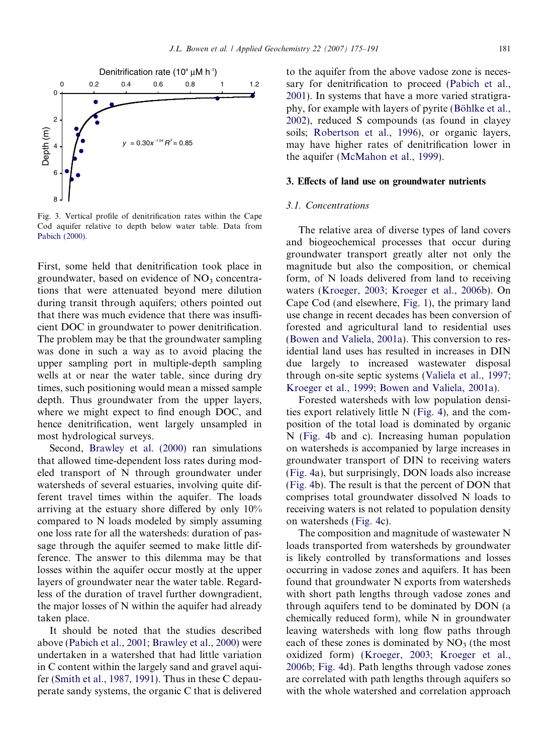<span id="page-6-0"></span>

Fig. 3. Vertical profile of denitrification rates within the Cape Cod aquifer relative to depth below water table. Data from [Pabich \(2000\).](#page-15-0)

First, some held that denitrification took place in groundwater, based on evidence of  $NO<sub>3</sub>$  concentrations that were attenuated beyond mere dilution during transit through aquifers; others pointed out that there was much evidence that there was insufficient DOC in groundwater to power denitrification. The problem may be that the groundwater sampling was done in such a way as to avoid placing the upper sampling port in multiple-depth sampling wells at or near the water table, since during dry times, such positioning would mean a missed sample depth. Thus groundwater from the upper layers, where we might expect to find enough DOC, and hence denitrification, went largely unsampled in most hydrological surveys.

Second, [Brawley et al. \(2000\)](#page-13-0) ran simulations that allowed time-dependent loss rates during modeled transport of N through groundwater under watersheds of several estuaries, involving quite different travel times within the aquifer. The loads arriving at the estuary shore differed by only 10% compared to N loads modeled by simply assuming one loss rate for all the watersheds: duration of passage through the aquifer seemed to make little difference. The answer to this dilemma may be that losses within the aquifer occur mostly at the upper layers of groundwater near the water table. Regardless of the duration of travel further downgradient, the major losses of N within the aquifer had already taken place.

It should be noted that the studies described above ([Pabich et al., 2001; Brawley et al., 2000\)](#page-15-0) were undertaken in a watershed that had little variation in C content within the largely sand and gravel aquifer [\(Smith et al., 1987, 1991](#page-15-0)). Thus in these C depauperate sandy systems, the organic C that is delivered

to the aquifer from the above vadose zone is necessary for denitrification to proceed [\(Pabich et al.,](#page-15-0) [2001\)](#page-15-0). In systems that have a more varied stratigraphy, for example with layers of pyrite (Böhlke et al., [2002\)](#page-12-0), reduced S compounds (as found in clayey soils; [Robertson et al., 1996\)](#page-15-0), or organic layers, may have higher rates of denitrification lower in the aquifer [\(McMahon et al., 1999\)](#page-14-0).

### 3. Effects of land use on groundwater nutrients

#### 3.1. Concentrations

The relative area of diverse types of land covers and biogeochemical processes that occur during groundwater transport greatly alter not only the magnitude but also the composition, or chemical form, of N loads delivered from land to receiving waters ([Kroeger, 2003; Kroeger et al., 2006b\)](#page-14-0). On Cape Cod (and elsewhere, [Fig. 1\)](#page-1-0), the primary land use change in recent decades has been conversion of forested and agricultural land to residential uses [\(Bowen and Valiela, 2001a](#page-13-0)). This conversion to residential land uses has resulted in increases in DIN due largely to increased wastewater disposal through on-site septic systems [\(Valiela et al., 1997;](#page-15-0) [Kroeger et al., 1999; Bowen and Valiela, 2001a](#page-15-0)).

Forested watersheds with low population densities export relatively little N ([Fig. 4](#page-7-0)), and the composition of the total load is dominated by organic N [\(Fig. 4b](#page-7-0) and c). Increasing human population on watersheds is accompanied by large increases in groundwater transport of DIN to receiving waters [\(Fig. 4](#page-7-0)a), but surprisingly, DON loads also increase [\(Fig. 4b](#page-7-0)). The result is that the percent of DON that comprises total groundwater dissolved N loads to receiving waters is not related to population density on watersheds ([Fig. 4](#page-7-0)c).

The composition and magnitude of wastewater N loads transported from watersheds by groundwater is likely controlled by transformations and losses occurring in vadose zones and aquifers. It has been found that groundwater N exports from watersheds with short path lengths through vadose zones and through aquifers tend to be dominated by DON (a chemically reduced form), while N in groundwater leaving watersheds with long flow paths through each of these zones is dominated by  $NO<sub>3</sub>$  (the most oxidized form) ([Kroeger, 2003; Kroeger et al.,](#page-14-0) [2006b](#page-14-0); [Fig. 4d](#page-7-0)). Path lengths through vadose zones are correlated with path lengths through aquifers so with the whole watershed and correlation approach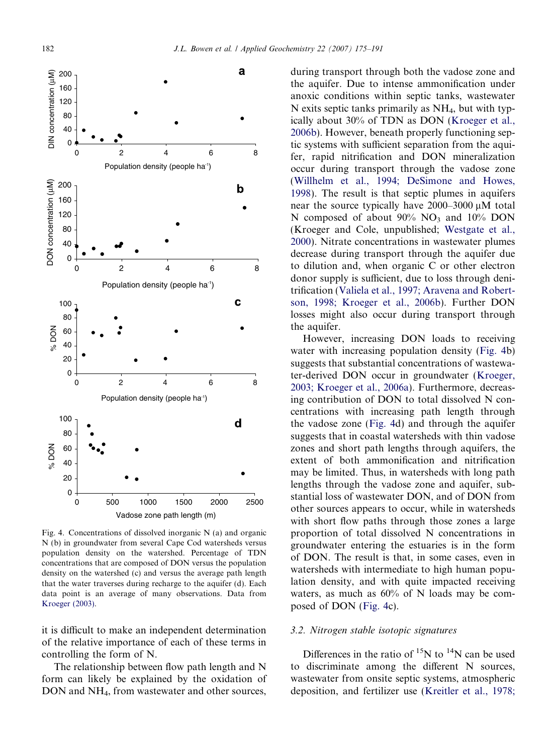<span id="page-7-0"></span>

Fig. 4. Concentrations of dissolved inorganic N (a) and organic N (b) in groundwater from several Cape Cod watersheds versus population density on the watershed. Percentage of TDN concentrations that are composed of DON versus the population density on the watershed (c) and versus the average path length that the water traverses during recharge to the aquifer (d). Each data point is an average of many observations. Data from [Kroeger \(2003\)](#page-14-0).

it is difficult to make an independent determination of the relative importance of each of these terms in controlling the form of N.

The relationship between flow path length and N form can likely be explained by the oxidation of DON and NH<sub>4</sub>, from wastewater and other sources,

during transport through both the vadose zone and the aquifer. Due to intense ammonification under anoxic conditions within septic tanks, wastewater N exits septic tanks primarily as  $NH<sub>4</sub>$ , but with typically about 30% of TDN as DON [\(Kroeger et al.,](#page-14-0) [2006b\)](#page-14-0). However, beneath properly functioning septic systems with sufficient separation from the aquifer, rapid nitrification and DON mineralization occur during transport through the vadose zone ([Willhelm et al., 1994; DeSimone and Howes,](#page-16-0) [1998](#page-16-0)). The result is that septic plumes in aquifers near the source typically have  $2000-3000 \mu M$  total N composed of about  $90\%$  NO<sub>3</sub> and  $10\%$  DON (Kroeger and Cole, unpublished; [Westgate et al.,](#page-16-0) [2000](#page-16-0)). Nitrate concentrations in wastewater plumes decrease during transport through the aquifer due to dilution and, when organic C or other electron donor supply is sufficient, due to loss through denitrification ([Valiela et al., 1997; Aravena and Robert](#page-15-0)[son, 1998; Kroeger et al., 2006b\)](#page-15-0). Further DON losses might also occur during transport through the aquifer.

However, increasing DON loads to receiving water with increasing population density (Fig. 4b) suggests that substantial concentrations of wastewater-derived DON occur in groundwater ([Kroeger,](#page-14-0) [2003; Kroeger et al., 2006a\)](#page-14-0). Furthermore, decreasing contribution of DON to total dissolved N concentrations with increasing path length through the vadose zone (Fig. 4d) and through the aquifer suggests that in coastal watersheds with thin vadose zones and short path lengths through aquifers, the extent of both ammonification and nitrification may be limited. Thus, in watersheds with long path lengths through the vadose zone and aquifer, substantial loss of wastewater DON, and of DON from other sources appears to occur, while in watersheds with short flow paths through those zones a large proportion of total dissolved N concentrations in groundwater entering the estuaries is in the form of DON. The result is that, in some cases, even in watersheds with intermediate to high human population density, and with quite impacted receiving waters, as much as 60% of N loads may be composed of DON (Fig. 4c).

#### 3.2. Nitrogen stable isotopic signatures

Differences in the ratio of  $15N$  to  $14N$  can be used to discriminate among the different N sources, wastewater from onsite septic systems, atmospheric deposition, and fertilizer use [\(Kreitler et al., 1978;](#page-14-0)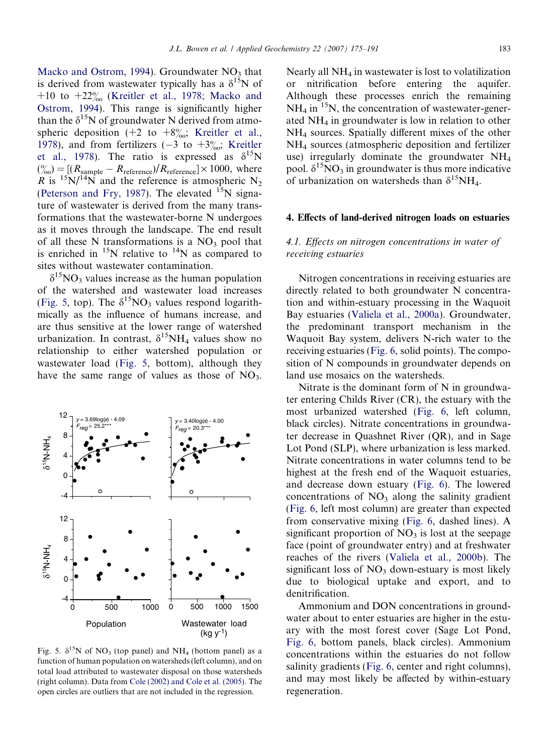[Macko and Ostrom, 1994\)](#page-14-0). Groundwater  $NO<sub>3</sub>$  that is derived from wastewater typically has a  $\delta^{15}N$  of +10 to +22 $\frac{\%}{\%}$  [\(Kreitler et al., 1978; Macko and](#page-14-0) [Ostrom, 1994](#page-14-0)). This range is significantly higher than the  $\delta^{15}N$  of groundwater N derived from atmo-spheric deposition (+2 to +8%; [Kreitler et al.,](#page-14-0) [1978\)](#page-14-0), and from fertilizers  $(-3 \text{ to } +3\frac{9}{10})$ ; [Kreitler](#page-14-0) [et al., 1978\)](#page-14-0). The ratio is expressed as  $\delta^{15}N$  $(\%) = [(R_{\text{sample}} - R_{\text{reference}})/R_{\text{reference}}] \times 1000, \text{ where}$  $R$  is  $15N/14N$  and the reference is atmospheric N<sub>2</sub> [\(Peterson and Fry, 1987](#page-15-0)). The elevated  $^{15}N$  signature of wastewater is derived from the many transformations that the wastewater-borne N undergoes as it moves through the landscape. The end result of all these N transformations is a  $NO<sub>3</sub>$  pool that is enriched in  $15N$  relative to  $14N$  as compared to sites without wastewater contamination.

 $\delta^{15}$ NO<sub>3</sub> values increase as the human population of the watershed and wastewater load increases (Fig. 5, top). The  $\delta^{15}NO_3$  values respond logarithmically as the influence of humans increase, and are thus sensitive at the lower range of watershed urbanization. In contrast,  $\delta^{15}NH_4$  values show no relationship to either watershed population or wastewater load (Fig. 5, bottom), although they have the same range of values as those of  $NO<sub>3</sub>$ .



Fig. 5.  $\delta^{15}N$  of NO<sub>3</sub> (top panel) and NH<sub>4</sub> (bottom panel) as a function of human population on watersheds (left column), and on total load attributed to wastewater disposal on those watersheds (right column). Data from [Cole \(2002\) and Cole et al. \(2005\).](#page-13-0) The open circles are outliers that are not included in the regression.

Nearly all  $NH<sub>4</sub>$  in wastewater is lost to volatilization or nitrification before entering the aquifer. Although these processes enrich the remaining  $NH<sub>4</sub>$  in <sup>15</sup>N, the concentration of wastewater-generated NH4 in groundwater is low in relation to other NH4 sources. Spatially different mixes of the other NH4 sources (atmospheric deposition and fertilizer use) irregularly dominate the groundwater NH4 pool.  $\delta^{15}NO_3$  in groundwater is thus more indicative of urbanization on watersheds than  $\delta^{15}NH_4$ .

#### 4. Effects of land-derived nitrogen loads on estuaries

# 4.1. Effects on nitrogen concentrations in water of receiving estuaries

Nitrogen concentrations in receiving estuaries are directly related to both groundwater N concentration and within-estuary processing in the Waquoit Bay estuaries [\(Valiela et al., 2000a\)](#page-16-0). Groundwater, the predominant transport mechanism in the Waquoit Bay system, delivers N-rich water to the receiving estuaries ([Fig. 6](#page-9-0), solid points). The composition of N compounds in groundwater depends on land use mosaics on the watersheds.

Nitrate is the dominant form of N in groundwater entering Childs River (CR), the estuary with the most urbanized watershed ([Fig. 6](#page-9-0), left column, black circles). Nitrate concentrations in groundwater decrease in Quashnet River (QR), and in Sage Lot Pond (SLP), where urbanization is less marked. Nitrate concentrations in water columns tend to be highest at the fresh end of the Waquoit estuaries, and decrease down estuary ([Fig. 6](#page-9-0)). The lowered concentrations of  $NO<sub>3</sub>$  along the salinity gradient [\(Fig. 6](#page-9-0), left most column) are greater than expected from conservative mixing ([Fig. 6,](#page-9-0) dashed lines). A significant proportion of  $NO<sub>3</sub>$  is lost at the seepage face (point of groundwater entry) and at freshwater reaches of the rivers [\(Valiela et al., 2000b](#page-16-0)). The significant loss of  $NO<sub>3</sub>$  down-estuary is most likely due to biological uptake and export, and to denitrification.

Ammonium and DON concentrations in groundwater about to enter estuaries are higher in the estuary with the most forest cover (Sage Lot Pond, [Fig. 6,](#page-9-0) bottom panels, black circles). Ammonium concentrations within the estuaries do not follow salinity gradients ([Fig. 6](#page-9-0), center and right columns), and may most likely be affected by within-estuary regeneration.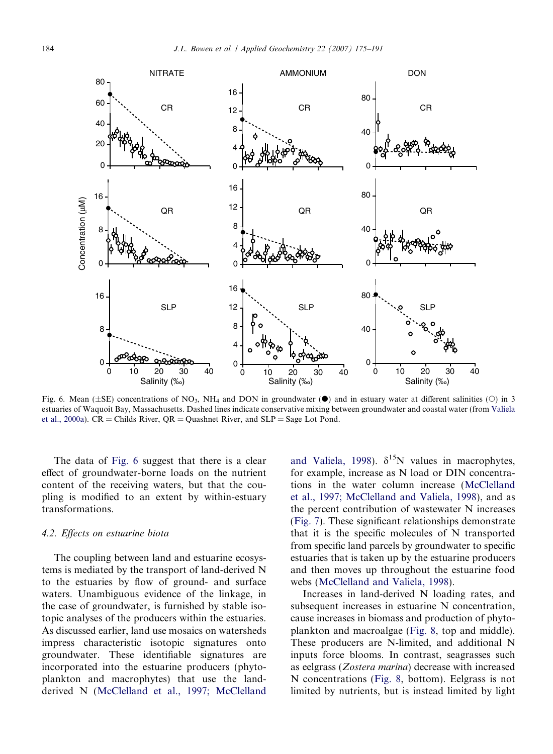<span id="page-9-0"></span>

Fig. 6. Mean ( $\pm$ SE) concentrations of NO<sub>3</sub>, NH<sub>4</sub> and DON in groundwater ( $\bullet$ ) and in estuary water at different salinities (O) in 3 estuaries of Waquoit Bay, Massachusetts. Dashed lines indicate conservative mixing between groundwater and coastal water (from [Valiela](#page-16-0) [et al., 2000a\)](#page-16-0).  $CR = Childs$  River,  $QR = Quashnet$  River, and  $SLP = Sage$  Lot Pond.

The data of Fig. 6 suggest that there is a clear effect of groundwater-borne loads on the nutrient content of the receiving waters, but that the coupling is modified to an extent by within-estuary transformations.

#### 4.2. Effects on estuarine biota

The coupling between land and estuarine ecosystems is mediated by the transport of land-derived N to the estuaries by flow of ground- and surface waters. Unambiguous evidence of the linkage, in the case of groundwater, is furnished by stable isotopic analyses of the producers within the estuaries. As discussed earlier, land use mosaics on watersheds impress characteristic isotopic signatures onto groundwater. These identifiable signatures are incorporated into the estuarine producers (phytoplankton and macrophytes) that use the landderived N ([McClelland et al., 1997; McClelland](#page-14-0)

[and Valiela, 1998](#page-14-0)).  $\delta^{15}$ N values in macrophytes, for example, increase as N load or DIN concentrations in the water column increase ([McClelland](#page-14-0) [et al., 1997; McClelland and Valiela, 1998](#page-14-0)), and as the percent contribution of wastewater N increases ([Fig. 7\)](#page-10-0). These significant relationships demonstrate that it is the specific molecules of N transported from specific land parcels by groundwater to specific estuaries that is taken up by the estuarine producers and then moves up throughout the estuarine food webs ([McClelland and Valiela, 1998\)](#page-14-0).

Increases in land-derived N loading rates, and subsequent increases in estuarine N concentration, cause increases in biomass and production of phytoplankton and macroalgae [\(Fig. 8,](#page-10-0) top and middle). These producers are N-limited, and additional N inputs force blooms. In contrast, seagrasses such as eelgrass (Zostera marina) decrease with increased N concentrations ([Fig. 8,](#page-10-0) bottom). Eelgrass is not limited by nutrients, but is instead limited by light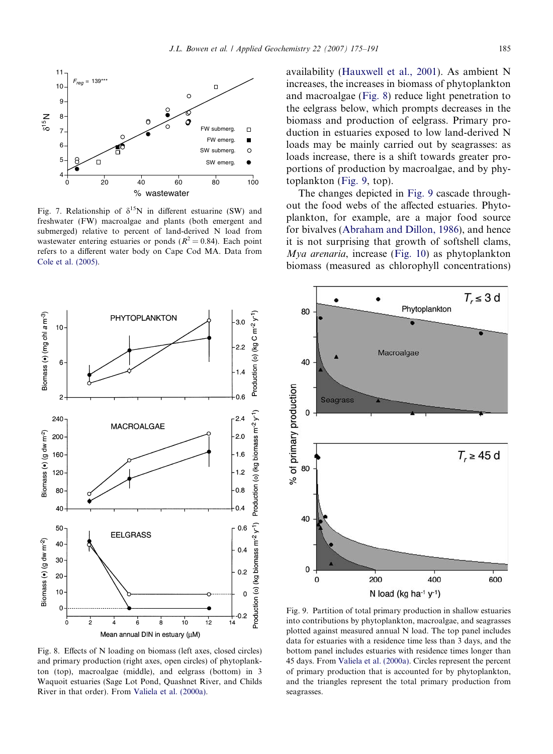<span id="page-10-0"></span>

Fig. 7. Relationship of  $\delta^{15}N$  in different estuarine (SW) and freshwater (FW) macroalgae and plants (both emergent and submerged) relative to percent of land-derived N load from wastewater entering estuaries or ponds ( $R^2 = 0.84$ ). Each point refers to a different water body on Cape Cod MA. Data from [Cole et al. \(2005\)](#page-13-0).



Fig. 8. Effects of N loading on biomass (left axes, closed circles) and primary production (right axes, open circles) of phytoplankton (top), macroalgae (middle), and eelgrass (bottom) in 3 Waquoit estuaries (Sage Lot Pond, Quashnet River, and Childs River in that order). From [Valiela et al. \(2000a\).](#page-16-0)

availability ([Hauxwell et al., 2001](#page-13-0)). As ambient N increases, the increases in biomass of phytoplankton and macroalgae (Fig. 8) reduce light penetration to the eelgrass below, which prompts decreases in the biomass and production of eelgrass. Primary production in estuaries exposed to low land-derived N loads may be mainly carried out by seagrasses: as loads increase, there is a shift towards greater proportions of production by macroalgae, and by phytoplankton (Fig. 9, top).

The changes depicted in Fig. 9 cascade throughout the food webs of the affected estuaries. Phytoplankton, for example, are a major food source for bivalves [\(Abraham and Dillon, 1986\)](#page-12-0), and hence it is not surprising that growth of softshell clams,  $Mya$  arenaria, increase ([Fig. 10\)](#page-11-0) as phytoplankton biomass (measured as chlorophyll concentrations)



Fig. 9. Partition of total primary production in shallow estuaries into contributions by phytoplankton, macroalgae, and seagrasses plotted against measured annual N load. The top panel includes data for estuaries with a residence time less than 3 days, and the bottom panel includes estuaries with residence times longer than 45 days. From [Valiela et al. \(2000a\).](#page-16-0) Circles represent the percent of primary production that is accounted for by phytoplankton, and the triangles represent the total primary production from seagrasses.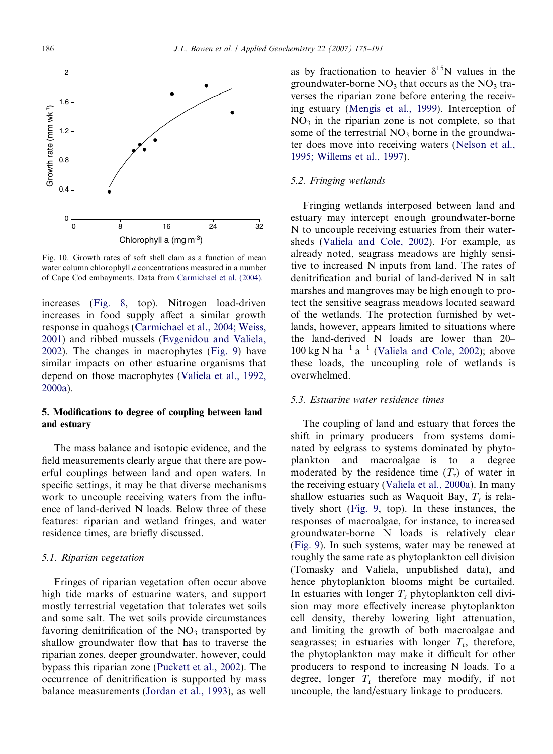<span id="page-11-0"></span>

Fig. 10. Growth rates of soft shell clam as a function of mean water column chlorophyll *a* concentrations measured in a number of Cape Cod embayments. Data from [Carmichael et al. \(2004\)](#page-13-0).

increases ([Fig. 8](#page-10-0), top). Nitrogen load-driven increases in food supply affect a similar growth response in quahogs ([Carmichael et al., 2004; Weiss,](#page-13-0) [2001](#page-13-0)) and ribbed mussels [\(Evgenidou and Valiela,](#page-13-0) [2002](#page-13-0)). The changes in macrophytes [\(Fig. 9](#page-10-0)) have similar impacts on other estuarine organisms that depend on those macrophytes [\(Valiela et al., 1992,](#page-16-0) [2000a](#page-16-0)).

# 5. Modifications to degree of coupling between land and estuary

The mass balance and isotopic evidence, and the field measurements clearly argue that there are powerful couplings between land and open waters. In specific settings, it may be that diverse mechanisms work to uncouple receiving waters from the influence of land-derived N loads. Below three of these features: riparian and wetland fringes, and water residence times, are briefly discussed.

#### 5.1. Riparian vegetation

Fringes of riparian vegetation often occur above high tide marks of estuarine waters, and support mostly terrestrial vegetation that tolerates wet soils and some salt. The wet soils provide circumstances favoring denitrification of the  $NO<sub>3</sub>$  transported by shallow groundwater flow that has to traverse the riparian zones, deeper groundwater, however, could bypass this riparian zone ([Puckett et al., 2002\)](#page-15-0). The occurrence of denitrification is supported by mass balance measurements ([Jordan et al., 1993](#page-14-0)), as well as by fractionation to heavier  $\delta^{15}N$  values in the groundwater-borne  $NO<sub>3</sub>$  that occurs as the  $NO<sub>3</sub>$  traverses the riparian zone before entering the receiving estuary ([Mengis et al., 1999](#page-14-0)). Interception of  $NO<sub>3</sub>$  in the riparian zone is not complete, so that some of the terrestrial  $NO<sub>3</sub>$  borne in the groundwater does move into receiving waters ([Nelson et al.,](#page-15-0) [1995; Willems et al., 1997](#page-15-0)).

## 5.2. Fringing wetlands

Fringing wetlands interposed between land and estuary may intercept enough groundwater-borne N to uncouple receiving estuaries from their watersheds [\(Valiela and Cole, 2002](#page-15-0)). For example, as already noted, seagrass meadows are highly sensitive to increased N inputs from land. The rates of denitrification and burial of land-derived N in salt marshes and mangroves may be high enough to protect the sensitive seagrass meadows located seaward of the wetlands. The protection furnished by wetlands, however, appears limited to situations where the land-derived N loads are lower than 20–  $100 \text{ kg N} \text{ ha}^{-1} \text{ a}^{-1}$  ([Valiela and Cole, 2002\)](#page-15-0); above these loads, the uncoupling role of wetlands is overwhelmed.

## 5.3. Estuarine water residence times

The coupling of land and estuary that forces the shift in primary producers—from systems dominated by eelgrass to systems dominated by phytoplankton and macroalgae—is to a degree moderated by the residence time  $(T_r)$  of water in the receiving estuary ([Valiela et al., 2000a](#page-16-0)). In many shallow estuaries such as Waquoit Bay,  $T_r$  is relatively short [\(Fig. 9,](#page-10-0) top). In these instances, the responses of macroalgae, for instance, to increased groundwater-borne N loads is relatively clear ([Fig. 9](#page-10-0)). In such systems, water may be renewed at roughly the same rate as phytoplankton cell division (Tomasky and Valiela, unpublished data), and hence phytoplankton blooms might be curtailed. In estuaries with longer  $T_r$  phytoplankton cell division may more effectively increase phytoplankton cell density, thereby lowering light attenuation, and limiting the growth of both macroalgae and seagrasses; in estuaries with longer  $T_r$ , therefore, the phytoplankton may make it difficult for other producers to respond to increasing N loads. To a degree, longer  $T_r$  therefore may modify, if not uncouple, the land/estuary linkage to producers.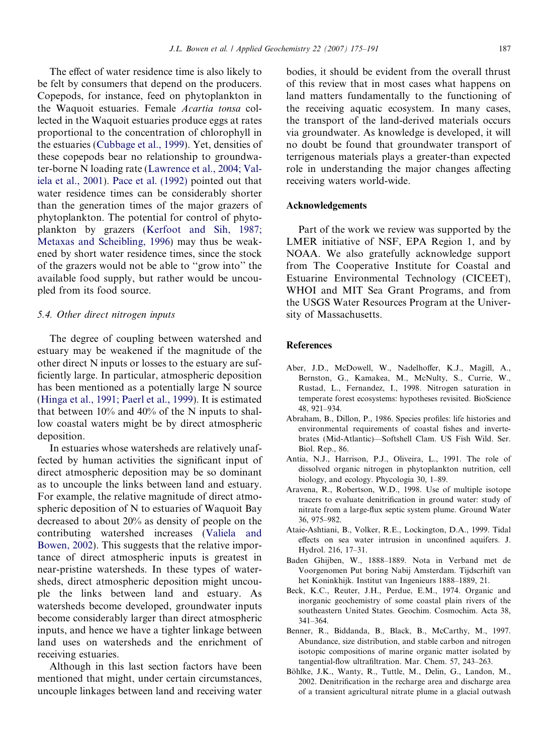<span id="page-12-0"></span>The effect of water residence time is also likely to be felt by consumers that depend on the producers. Copepods, for instance, feed on phytoplankton in the Waquoit estuaries. Female Acartia tonsa collected in the Waquoit estuaries produce eggs at rates proportional to the concentration of chlorophyll in the estuaries [\(Cubbage et al., 1999](#page-13-0)). Yet, densities of these copepods bear no relationship to groundwater-borne N loading rate ([Lawrence et al., 2004; Val](#page-14-0)[iela et al., 2001\)](#page-14-0). [Pace et al. \(1992\)](#page-15-0) pointed out that water residence times can be considerably shorter than the generation times of the major grazers of phytoplankton. The potential for control of phytoplankton by grazers [\(Kerfoot and Sih, 1987;](#page-14-0) [Metaxas and Scheibling, 1996](#page-14-0)) may thus be weakened by short water residence times, since the stock of the grazers would not be able to ''grow into'' the available food supply, but rather would be uncoupled from its food source.

## 5.4. Other direct nitrogen inputs

The degree of coupling between watershed and estuary may be weakened if the magnitude of the other direct N inputs or losses to the estuary are sufficiently large. In particular, atmospheric deposition has been mentioned as a potentially large N source [\(Hinga et al., 1991; Paerl et al., 1999](#page-14-0)). It is estimated that between  $10\%$  and  $40\%$  of the N inputs to shallow coastal waters might be by direct atmospheric deposition.

In estuaries whose watersheds are relatively unaffected by human activities the significant input of direct atmospheric deposition may be so dominant as to uncouple the links between land and estuary. For example, the relative magnitude of direct atmospheric deposition of N to estuaries of Waquoit Bay decreased to about 20% as density of people on the contributing watershed increases ([Valiela and](#page-15-0) [Bowen, 2002](#page-15-0)). This suggests that the relative importance of direct atmospheric inputs is greatest in near-pristine watersheds. In these types of watersheds, direct atmospheric deposition might uncouple the links between land and estuary. As watersheds become developed, groundwater inputs become considerably larger than direct atmospheric inputs, and hence we have a tighter linkage between land uses on watersheds and the enrichment of receiving estuaries.

Although in this last section factors have been mentioned that might, under certain circumstances, uncouple linkages between land and receiving water bodies, it should be evident from the overall thrust of this review that in most cases what happens on land matters fundamentally to the functioning of the receiving aquatic ecosystem. In many cases, the transport of the land-derived materials occurs via groundwater. As knowledge is developed, it will no doubt be found that groundwater transport of terrigenous materials plays a greater-than expected role in understanding the major changes affecting receiving waters world-wide.

#### Acknowledgements

Part of the work we review was supported by the LMER initiative of NSF, EPA Region 1, and by NOAA. We also gratefully acknowledge support from The Cooperative Institute for Coastal and Estuarine Environmental Technology (CICEET), WHOI and MIT Sea Grant Programs, and from the USGS Water Resources Program at the University of Massachusetts.

## **References**

- Aber, J.D., McDowell, W., Nadelhoffer, K.J., Magill, A., Bernston, G., Kamakea, M., McNulty, S., Currie, W., Rustad, L., Fernandez, I., 1998. Nitrogen saturation in temperate forest ecosystems: hypotheses revisited. BioScience 48, 921–934.
- Abraham, B., Dillon, P., 1986. Species profiles: life histories and environmental requirements of coastal fishes and invertebrates (Mid-Atlantic)—Softshell Clam. US Fish Wild. Ser. Biol. Rep., 86.
- Antia, N.J., Harrison, P.J., Oliveira, L., 1991. The role of dissolved organic nitrogen in phytoplankton nutrition, cell biology, and ecology. Phycologia 30, 1–89.
- Aravena, R., Robertson, W.D., 1998. Use of multiple isotope tracers to evaluate denitrification in ground water: study of nitrate from a large-flux septic system plume. Ground Water 36, 975–982.
- Ataie-Ashtiani, B., Volker, R.E., Lockington, D.A., 1999. Tidal effects on sea water intrusion in unconfined aquifers. J. Hydrol. 216, 17–31.
- Baden Ghijben, W., 1888–1889. Nota in Verband met de Voorgenomen Put boring Nabij Amsterdam. Tijdscrhift van het Koninkhijk. Institut van Ingenieurs 1888–1889, 21.
- Beck, K.C., Reuter, J.H., Perdue, E.M., 1974. Organic and inorganic geochemistry of some coastal plain rivers of the southeastern United States. Geochim. Cosmochim. Acta 38, 341–364.
- Benner, R., Biddanda, B., Black, B., McCarthy, M., 1997. Abundance, size distribution, and stable carbon and nitrogen isotopic compositions of marine organic matter isolated by tangential-flow ultrafiltration. Mar. Chem. 57, 243–263.
- Böhlke, J.K., Wanty, R., Tuttle, M., Delin, G., Landon, M., 2002. Denitrification in the recharge area and discharge area of a transient agricultural nitrate plume in a glacial outwash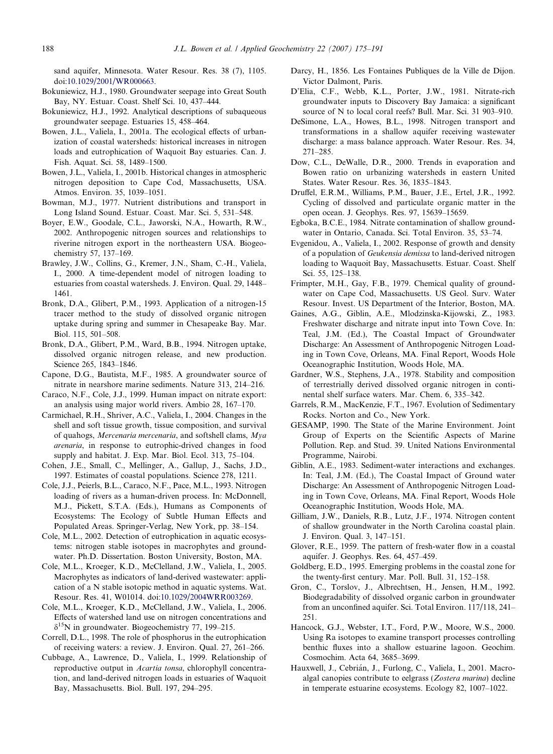<span id="page-13-0"></span>sand aquifer, Minnesota. Water Resour. Res. 38 (7), 1105. doi[:10.1029/2001/WR000663.](http://dx.doi.org/10.1029/2001/WR000663)

- Bokuniewicz, H.J., 1980. Groundwater seepage into Great South Bay, NY. Estuar. Coast. Shelf Sci. 10, 437–444.
- Bokuniewicz, H.J., 1992. Analytical descriptions of subaqueous groundwater seepage. Estuaries 15, 458–464.
- Bowen, J.L., Valiela, I., 2001a. The ecological effects of urbanization of coastal watersheds: historical increases in nitrogen loads and eutrophication of Waquoit Bay estuaries. Can. J. Fish. Aquat. Sci. 58, 1489–1500.
- Bowen, J.L., Valiela, I., 2001b. Historical changes in atmospheric nitrogen deposition to Cape Cod, Massachusetts, USA. Atmos. Environ. 35, 1039–1051.
- Bowman, M.J., 1977. Nutrient distributions and transport in Long Island Sound. Estuar. Coast. Mar. Sci. 5, 531–548.
- Boyer, E.W., Goodale, C.L., Jaworski, N.A., Howarth, R.W., 2002. Anthropogenic nitrogen sources and relationships to riverine nitrogen export in the northeastern USA. Biogeochemistry 57, 137–169.
- Brawley, J.W., Collins, G., Kremer, J.N., Sham, C.-H., Valiela, I., 2000. A time-dependent model of nitrogen loading to estuaries from coastal watersheds. J. Environ. Qual. 29, 1448– 1461.
- Bronk, D.A., Glibert, P.M., 1993. Application of a nitrogen-15 tracer method to the study of dissolved organic nitrogen uptake during spring and summer in Chesapeake Bay. Mar. Biol. 115, 501–508.
- Bronk, D.A., Glibert, P.M., Ward, B.B., 1994. Nitrogen uptake, dissolved organic nitrogen release, and new production. Science 265, 1843–1846.
- Capone, D.G., Bautista, M.F., 1985. A groundwater source of nitrate in nearshore marine sediments. Nature 313, 214–216.

Caraco, N.F., Cole, J.J., 1999. Human impact on nitrate export: an analysis using major world rivers. Ambio 28, 167–170.

- Carmichael, R.H., Shriver, A.C., Valiela, I., 2004. Changes in the shell and soft tissue growth, tissue composition, and survival of quahogs, Mercenaria mercenaria, and softshell clams, Mya arenaria, in response to eutrophic-drived changes in food supply and habitat. J. Exp. Mar. Biol. Ecol. 313, 75–104.
- Cohen, J.E., Small, C., Mellinger, A., Gallup, J., Sachs, J.D., 1997. Estimates of coastal populations. Science 278, 1211.
- Cole, J.J., Peierls, B.L., Caraco, N.F., Pace, M.L., 1993. Nitrogen loading of rivers as a human-driven process. In: McDonnell, M.J., Pickett, S.T.A. (Eds.), Humans as Components of Ecosystems: The Ecology of Subtle Human Effects and Populated Areas. Springer-Verlag, New York, pp. 38–154.
- Cole, M.L., 2002. Detection of eutrophication in aquatic ecosystems: nitrogen stable isotopes in macrophytes and groundwater. Ph.D. Dissertation. Boston University, Boston, MA.
- Cole, M.L., Kroeger, K.D., McClelland, J.W., Valiela, I., 2005. Macrophytes as indicators of land-derived wastewater: application of a N stable isotopic method in aquatic systems. Wat. Resour. Res. 41, W01014. doi[:10.1029/2004WRR003269.](http://dx.doi.org/10.1029/2004WRR003269)
- Cole, M.L., Kroeger, K.D., McClelland, J.W., Valiela, I., 2006. Effects of watershed land use on nitrogen concentrations and  $\delta^{15}$ N in groundwater. Biogeochemistry 77, 199–215.
- Correll, D.L., 1998. The role of phosphorus in the eutrophication of receiving waters: a review. J. Environ. Qual. 27, 261–266.
- Cubbage, A., Lawrence, D., Valiela, I., 1999. Relationship of reproductive output in Acartia tonsa, chlorophyll concentration, and land-derived nitrogen loads in estuaries of Waquoit Bay, Massachusetts. Biol. Bull. 197, 294–295.
- Darcy, H., 1856. Les Fontaines Publiques de la Ville de Dijon. Victor Dalmont, Paris.
- D'Elia, C.F., Webb, K.L., Porter, J.W., 1981. Nitrate-rich groundwater inputs to Discovery Bay Jamaica: a significant source of N to local coral reefs? Bull. Mar. Sci. 31 903–910.
- DeSimone, L.A., Howes, B.L., 1998. Nitrogen transport and transformations in a shallow aquifer receiving wastewater discharge: a mass balance approach. Water Resour. Res. 34, 271–285.
- Dow, C.L., DeWalle, D.R., 2000. Trends in evaporation and Bowen ratio on urbanizing watersheds in eastern United States. Water Resour. Res. 36, 1835–1843.
- Druffel, E.R.M., Williams, P.M., Bauer, J.E., Ertel, J.R., 1992. Cycling of dissolved and particulate organic matter in the open ocean. J. Geophys. Res. 97, 15639–15659.
- Egboka, B.C.E., 1984. Nitrate contamination of shallow groundwater in Ontario, Canada. Sci. Total Environ. 35, 53–74.
- Evgenidou, A., Valiela, I., 2002. Response of growth and density of a population of Geukensia demissa to land-derived nitrogen loading to Waquoit Bay, Massachusetts. Estuar. Coast. Shelf Sci. 55, 125–138.
- Frimpter, M.H., Gay, F.B., 1979. Chemical quality of groundwater on Cape Cod, Massachusetts. US Geol. Surv. Water Resour. Invest. US Department of the Interior, Boston, MA.
- Gaines, A.G., Giblin, A.E., Mlodzinska-Kijowski, Z., 1983. Freshwater discharge and nitrate input into Town Cove. In: Teal, J.M. (Ed.), The Coastal Impact of Groundwater Discharge: An Assessment of Anthropogenic Nitrogen Loading in Town Cove, Orleans, MA. Final Report, Woods Hole Oceanographic Institution, Woods Hole, MA.
- Gardner, W.S., Stephens, J.A., 1978. Stability and composition of terrestrially derived dissolved organic nitrogen in continental shelf surface waters. Mar. Chem. 6, 335–342.
- Garrels, R.M., MacKenzie, F.T., 1967. Evolution of Sedimentary Rocks. Norton and Co., New York.
- GESAMP, 1990. The State of the Marine Environment. Joint Group of Experts on the Scientific Aspects of Marine Pollution. Rep. and Stud. 39. United Nations Environmental Programme, Nairobi.
- Giblin, A.E., 1983. Sediment-water interactions and exchanges. In: Teal, J.M. (Ed.), The Coastal Impact of Ground water Discharge: An Assessment of Anthropogenic Nitrogen Loading in Town Cove, Orleans, MA. Final Report, Woods Hole Oceanographic Institution, Woods Hole, MA.
- Gilliam, J.W., Daniels, R.B., Lutz, J.F., 1974. Nitrogen content of shallow groundwater in the North Carolina coastal plain. J. Environ. Qual. 3, 147–151.
- Glover, R.E., 1959. The pattern of fresh-water flow in a coastal aquifer. J. Geophys. Res. 64, 457–459.
- Goldberg, E.D., 1995. Emerging problems in the coastal zone for the twenty-first century. Mar. Poll. Bull. 31, 152–158.
- Gron, C., Torslov, J., Albrechtsen, H., Jensen, H.M., 1992. Biodegradability of dissolved organic carbon in groundwater from an unconfined aquifer. Sci. Total Environ. 117/118, 241– 251.
- Hancock, G.J., Webster, I.T., Ford, P.W., Moore, W.S., 2000. Using Ra isotopes to examine transport processes controlling benthic fluxes into a shallow estuarine lagoon. Geochim. Cosmochim. Acta 64, 3685–3699.
- Hauxwell, J., Cebrián, J., Furlong, C., Valiela, I., 2001. Macroalgal canopies contribute to eelgrass (Zostera marina) decline in temperate estuarine ecosystems. Ecology 82, 1007–1022.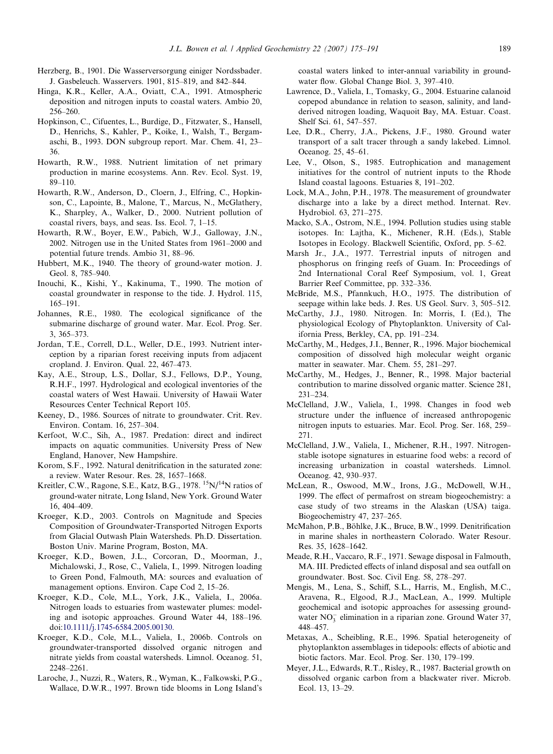- <span id="page-14-0"></span>Herzberg, B., 1901. Die Wasserversorgung einiger Nordssbader. J. Gasbeleuch. Wasservers. 1901, 815–819, and 842–844.
- Hinga, K.R., Keller, A.A., Oviatt, C.A., 1991. Atmospheric deposition and nitrogen inputs to coastal waters. Ambio 20, 256–260.
- Hopkinson, C., Cifuentes, L., Burdige, D., Fitzwater, S., Hansell, D., Henrichs, S., Kahler, P., Koike, I., Walsh, T., Bergamaschi, B., 1993. DON subgroup report. Mar. Chem. 41, 23– 36.
- Howarth, R.W., 1988. Nutrient limitation of net primary production in marine ecosystems. Ann. Rev. Ecol. Syst. 19, 89–110.
- Howarth, R.W., Anderson, D., Cloern, J., Elfring, C., Hopkinson, C., Lapointe, B., Malone, T., Marcus, N., McGlathery, K., Sharpley, A., Walker, D., 2000. Nutrient pollution of coastal rivers, bays, and seas. Iss. Ecol. 7, 1–15.
- Howarth, R.W., Boyer, E.W., Pabich, W.J., Galloway, J.N., 2002. Nitrogen use in the United States from 1961–2000 and potential future trends. Ambio 31, 88–96.
- Hubbert, M.K., 1940. The theory of ground-water motion. J. Geol. 8, 785–940.
- Inouchi, K., Kishi, Y., Kakinuma, T., 1990. The motion of coastal groundwater in response to the tide. J. Hydrol. 115, 165–191.
- Johannes, R.E., 1980. The ecological significance of the submarine discharge of ground water. Mar. Ecol. Prog. Ser. 3, 365–373.
- Jordan, T.E., Correll, D.L., Weller, D.E., 1993. Nutrient interception by a riparian forest receiving inputs from adjacent cropland. J. Environ. Qual. 22, 467–473.
- Kay, A.E., Stroup, L.S., Dollar, S.J., Fellows, D.P., Young, R.H.F., 1997. Hydrological and ecological inventories of the coastal waters of West Hawaii. University of Hawaii Water Resources Center Technical Report 105.
- Keeney, D., 1986. Sources of nitrate to groundwater. Crit. Rev. Environ. Contam. 16, 257–304.
- Kerfoot, W.C., Sih, A., 1987. Predation: direct and indirect impacts on aquatic communities. University Press of New England, Hanover, New Hampshire.
- Korom, S.F., 1992. Natural denitrification in the saturated zone: a review. Water Resour. Res. 28, 1657–1668.
- Kreitler, C.W., Ragone, S.E., Katz, B.G., 1978. <sup>15</sup>N/<sup>14</sup>N ratios of ground-water nitrate, Long Island, New York. Ground Water 16, 404–409.
- Kroeger, K.D., 2003. Controls on Magnitude and Species Composition of Groundwater-Transported Nitrogen Exports from Glacial Outwash Plain Watersheds. Ph.D. Dissertation. Boston Univ. Marine Program, Boston, MA.
- Kroeger, K.D., Bowen, J.L., Corcoran, D., Moorman, J., Michalowski, J., Rose, C., Valiela, I., 1999. Nitrogen loading to Green Pond, Falmouth, MA: sources and evaluation of management options. Environ. Cape Cod 2, 15–26.
- Kroeger, K.D., Cole, M.L., York, J.K., Valiela, I., 2006a. Nitrogen loads to estuaries from wastewater plumes: modeling and isotopic approaches. Ground Water 44, 188–196. doi:[10.1111/j.1745-6584.2005.00130.](http://dx.doi.org/10.1111/j.1745-6584.2005.00130)
- Kroeger, K.D., Cole, M.L., Valiela, I., 2006b. Controls on groundwater-transported dissolved organic nitrogen and nitrate yields from coastal watersheds. Limnol. Oceanog. 51, 2248–2261.
- Laroche, J., Nuzzi, R., Waters, R., Wyman, K., Falkowski, P.G., Wallace, D.W.R., 1997. Brown tide blooms in Long Island's

coastal waters linked to inter-annual variability in groundwater flow. Global Change Biol. 3, 397–410.

- Lawrence, D., Valiela, I., Tomasky, G., 2004. Estuarine calanoid copepod abundance in relation to season, salinity, and landderived nitrogen loading, Waquoit Bay, MA. Estuar. Coast. Shelf Sci. 61, 547–557.
- Lee, D.R., Cherry, J.A., Pickens, J.F., 1980. Ground water transport of a salt tracer through a sandy lakebed. Limnol. Oceanog. 25, 45–61.
- Lee, V., Olson, S., 1985. Eutrophication and management initiatives for the control of nutrient inputs to the Rhode Island coastal lagoons. Estuaries 8, 191–202.
- Lock, M.A., John, P.H., 1978. The measurement of groundwater discharge into a lake by a direct method. Internat. Rev. Hydrobiol. 63, 271–275.
- Macko, S.A., Ostrom, N.E., 1994. Pollution studies using stable isotopes. In: Lajtha, K., Michener, R.H. (Eds.), Stable Isotopes in Ecology. Blackwell Scientific, Oxford, pp. 5–62.
- Marsh Jr., J.A., 1977. Terrestrial inputs of nitrogen and phosphorus on fringing reefs of Guam. In: Proceedings of 2nd International Coral Reef Symposium, vol. 1, Great Barrier Reef Committee, pp. 332–336.
- McBride, M.S., Pfannkuch, H.O., 1975. The distribution of seepage within lake beds. J. Res. US Geol. Surv. 3, 505–512.
- McCarthy, J.J., 1980. Nitrogen. In: Morris, I. (Ed.), The physiological Ecology of Phytoplankton. University of California Press, Berkley, CA, pp. 191–234.
- McCarthy, M., Hedges, J.I., Benner, R., 1996. Major biochemical composition of dissolved high molecular weight organic matter in seawater. Mar. Chem. 55, 281–297.
- McCarthy, M., Hedges, J., Benner, R., 1998. Major bacterial contribution to marine dissolved organic matter. Science 281, 231–234.
- McClelland, J.W., Valiela, I., 1998. Changes in food web structure under the influence of increased anthropogenic nitrogen inputs to estuaries. Mar. Ecol. Prog. Ser. 168, 259– 271.
- McClelland, J.W., Valiela, I., Michener, R.H., 1997. Nitrogenstable isotope signatures in estuarine food webs: a record of increasing urbanization in coastal watersheds. Limnol. Oceanog. 42, 930–937.
- McLean, R., Oswood, M.W., Irons, J.G., McDowell, W.H., 1999. The effect of permafrost on stream biogeochemistry: a case study of two streams in the Alaskan (USA) taiga. Biogeochemistry 47, 237–265.
- McMahon, P.B., Böhlke, J.K., Bruce, B.W., 1999. Denitrification in marine shales in northeastern Colorado. Water Resour. Res. 35, 1628–1642.
- Meade, R.H., Vaccaro, R.F., 1971. Sewage disposal in Falmouth, MA. III. Predicted effects of inland disposal and sea outfall on groundwater. Bost. Soc. Civil Eng. 58, 278–297.
- Mengis, M., Lena, S., Schiff, S.L., Harris, M., English, M.C., Aravena, R., Elgood, R.J., MacLean, A., 1999. Multiple geochemical and isotopic approaches for assessing groundwater  $NO_3^-$  elimination in a riparian zone. Ground Water 37, 448–457.
- Metaxas, A., Scheibling, R.E., 1996. Spatial heterogeneity of phytoplankton assemblages in tidepools: effects of abiotic and biotic factors. Mar. Ecol. Prog. Ser. 130, 179–199.
- Meyer, J.L., Edwards, R.T., Risley, R., 1987. Bacterial growth on dissolved organic carbon from a blackwater river. Microb. Ecol. 13, 13–29.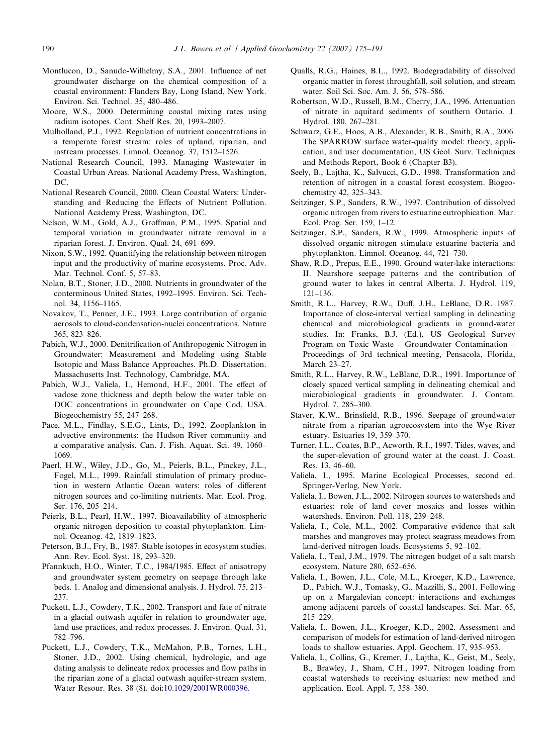- <span id="page-15-0"></span>Montlucon, D., Sanudo-Wilhelmy, S.A., 2001. Influence of net groundwater discharge on the chemical composition of a coastal environment: Flanders Bay, Long Island, New York. Environ. Sci. Technol. 35, 480–486.
- Moore, W.S., 2000. Determining coastal mixing rates using radium isotopes. Cont. Shelf Res. 20, 1993–2007.
- Mulholland, P.J., 1992. Regulation of nutrient concentrations in a temperate forest stream: roles of upland, riparian, and instream processes. Limnol. Oceanog. 37, 1512–1526.
- National Research Council, 1993. Managing Wastewater in Coastal Urban Areas. National Academy Press, Washington, DC.
- National Research Council, 2000. Clean Coastal Waters: Understanding and Reducing the Effects of Nutrient Pollution. National Academy Press, Washington, DC.
- Nelson, W.M., Gold, A.J., Groffman, P.M., 1995. Spatial and temporal variation in groundwater nitrate removal in a riparian forest. J. Environ. Qual. 24, 691–699.
- Nixon, S.W., 1992. Quantifying the relationship between nitrogen input and the productivity of marine ecosystems. Proc. Adv. Mar. Technol. Conf. 5, 57–83.
- Nolan, B.T., Stoner, J.D., 2000. Nutrients in groundwater of the conterminous United States, 1992–1995. Environ. Sci. Technol. 34, 1156–1165.
- Novakov, T., Penner, J.E., 1993. Large contribution of organic aerosols to cloud-condensation-nuclei concentrations. Nature 365, 823–826.
- Pabich, W.J., 2000. Denitrification of Anthropogenic Nitrogen in Groundwater: Measurement and Modeling using Stable Isotopic and Mass Balance Approaches. Ph.D. Dissertation. Massachusetts Inst. Technology, Cambridge, MA.
- Pabich, W.J., Valiela, I., Hemond, H.F., 2001. The effect of vadose zone thickness and depth below the water table on DOC concentrations in groundwater on Cape Cod, USA. Biogeochemistry 55, 247–268.
- Pace, M.L., Findlay, S.E.G., Lints, D., 1992. Zooplankton in advective environments: the Hudson River community and a comparative analysis. Can. J. Fish. Aquat. Sci. 49, 1060– 1069.
- Paerl, H.W., Wiley, J.D., Go, M., Peierls, B.L., Pinckey, J.L., Fogel, M.L., 1999. Rainfall stimulation of primary production in western Atlantic Ocean waters: roles of different nitrogen sources and co-limiting nutrients. Mar. Ecol. Prog. Ser. 176, 205–214.
- Peierls, B.L., Pearl, H.W., 1997. Bioavailability of atmospheric organic nitrogen deposition to coastal phytoplankton. Limnol. Oceanog. 42, 1819–1823.
- Peterson, B.J., Fry, B., 1987. Stable isotopes in ecosystem studies. Ann. Rev. Ecol. Syst. 18, 293–320.
- Pfannkuch, H.O., Winter, T.C., 1984/1985. Effect of anisotropy and groundwater system geometry on seepage through lake beds. 1. Analog and dimensional analysis. J. Hydrol. 75, 213– 237.
- Puckett, L.J., Cowdery, T.K., 2002. Transport and fate of nitrate in a glacial outwash aquifer in relation to groundwater age, land use practices, and redox processes. J. Environ. Qual. 31, 782–796.
- Puckett, L.J., Cowdery, T.K., McMahon, P.B., Tornes, L.H., Stoner, J.D., 2002. Using chemical, hydrologic, and age dating analysis to delineate redox processes and flow paths in the riparian zone of a glacial outwash aquifer-stream system. Water Resour. Res. 38 (8). doi[:10.1029/2001WR000396.](http://dx.doi.org/10.1029/2001WR000396)
- Qualls, R.G., Haines, B.L., 1992. Biodegradability of dissolved organic matter in forest throughfall, soil solution, and stream water. Soil Sci. Soc. Am. J. 56, 578–586.
- Robertson, W.D., Russell, B.M., Cherry, J.A., 1996. Attenuation of nitrate in aquitard sediments of southern Ontario. J. Hydrol. 180, 267–281.
- Schwarz, G.E., Hoos, A.B., Alexander, R.B., Smith, R.A., 2006. The SPARROW surface water-quality model: theory, application, and user documentation, US Geol. Surv. Techniques and Methods Report, Book 6 (Chapter B3).
- Seely, B., Lajtha, K., Salvucci, G.D., 1998. Transformation and retention of nitrogen in a coastal forest ecosystem. Biogeochemistry 42, 325–343.
- Seitzinger, S.P., Sanders, R.W., 1997. Contribution of dissolved organic nitrogen from rivers to estuarine eutrophication. Mar. Ecol. Prog. Ser. 159, 1–12.
- Seitzinger, S.P., Sanders, R.W., 1999. Atmospheric inputs of dissolved organic nitrogen stimulate estuarine bacteria and phytoplankton. Limnol. Oceanog. 44, 721–730.
- Shaw, R.D., Prepas, E.E., 1990. Ground water-lake interactions: II. Nearshore seepage patterns and the contribution of ground water to lakes in central Alberta. J. Hydrol. 119, 121–136.
- Smith, R.L., Harvey, R.W., Duff, J.H., LeBlanc, D.R. 1987. Importance of close-interval vertical sampling in delineating chemical and microbiological gradients in ground-water studies. In: Franks, B.J. (Ed.), US Geological Survey Program on Toxic Waste – Groundwater Contamination – Proceedings of 3rd technical meeting, Pensacola, Florida, March 23–27.
- Smith, R.L., Harvey, R.W., LeBlanc, D.R., 1991. Importance of closely spaced vertical sampling in delineating chemical and microbiological gradients in groundwater. J. Contam. Hydrol. 7, 285–300.
- Staver, K.W., Brinsfield, R.B., 1996. Seepage of groundwater nitrate from a riparian agroecosystem into the Wye River estuary. Estuaries 19, 359–370.
- Turner, I.L., Coates, B.P., Acworth, R.I., 1997. Tides, waves, and the super-elevation of ground water at the coast. J. Coast. Res. 13, 46–60.
- Valiela, I., 1995. Marine Ecological Processes, second ed. Springer-Verlag, New York.
- Valiela, I., Bowen, J.L., 2002. Nitrogen sources to watersheds and estuaries: role of land cover mosaics and losses within watersheds. Environ. Poll. 118, 239–248.
- Valiela, I., Cole, M.L., 2002. Comparative evidence that salt marshes and mangroves may protect seagrass meadows from land-derived nitrogen loads. Ecosystems 5, 92–102.
- Valiela, I., Teal, J.M., 1979. The nitrogen budget of a salt marsh ecosystem. Nature 280, 652–656.
- Valiela, I., Bowen, J.L., Cole, M.L., Kroeger, K.D., Lawrence, D., Pabich, W.J., Tomasky, G., Mazzilli, S., 2001. Following up on a Margalevian concept: interactions and exchanges among adjacent parcels of coastal landscapes. Sci. Mar. 65, 215–229.
- Valiela, I., Bowen, J.L., Kroeger, K.D., 2002. Assessment and comparison of models for estimation of land-derived nitrogen loads to shallow estuaries. Appl. Geochem. 17, 935–953.
- Valiela, I., Collins, G., Kremer, J., Lajtha, K., Geist, M., Seely, B., Brawley, J., Sham, C.H., 1997. Nitrogen loading from coastal watersheds to receiving estuaries: new method and application. Ecol. Appl. 7, 358–380.